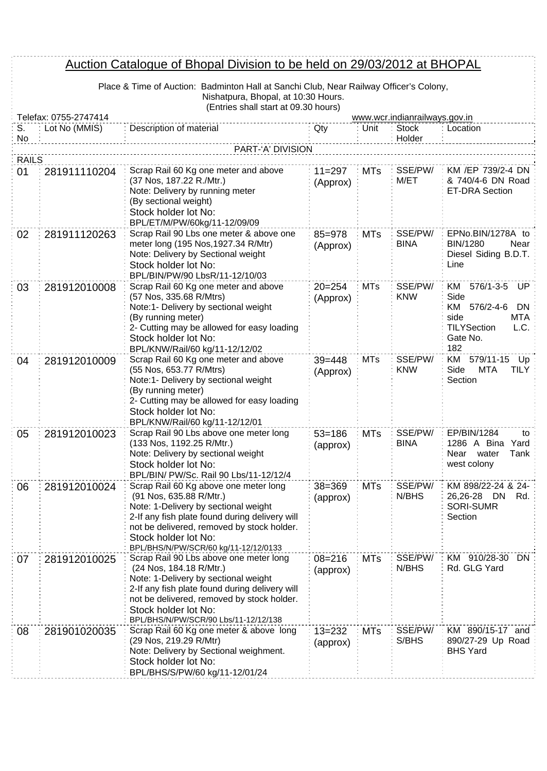## Auction Catalogue of Bhopal Division to be held on 29/03/2012 at BHOPAL

| Place & Time of Auction: Badminton Hall at Sanchi Club, Near Railway Officer's Colony, |
|----------------------------------------------------------------------------------------|
| Nishatpura, Bhopal, at 10:30 Hours.                                                    |
| (Entries shall start at 09.30 hours)                                                   |

|                    | Telefax: 0755-2747414 | TETTINGS SHAIL STAIL AT 09.00 HOURS!                                                                                                                                                                                                                                      |                        |            | www.wcr.indianrailways.gov.in |                                                                                                                                |  |  |
|--------------------|-----------------------|---------------------------------------------------------------------------------------------------------------------------------------------------------------------------------------------------------------------------------------------------------------------------|------------------------|------------|-------------------------------|--------------------------------------------------------------------------------------------------------------------------------|--|--|
| S.<br>No           | Lot No (MMIS)         | Description of material                                                                                                                                                                                                                                                   | Qty                    | Unit       | <b>Stock</b><br>Holder        | Location                                                                                                                       |  |  |
|                    | PART-'A' DIVISION     |                                                                                                                                                                                                                                                                           |                        |            |                               |                                                                                                                                |  |  |
| <b>RAILS</b><br>01 | 281911110204          | Scrap Rail 60 Kg one meter and above<br>(37 Nos, 187.22 R./Mtr.)                                                                                                                                                                                                          | $11 = 297$             | <b>MTs</b> | SSE/PW/<br>M/ET               | KM /EP 739/2-4 DN<br>& 740/4-6 DN Road                                                                                         |  |  |
|                    |                       | Note: Delivery by running meter<br>(By sectional weight)<br>Stock holder lot No:<br>BPL/ET/M/PW/60kg/11-12/09/09                                                                                                                                                          | (Approx)               |            |                               | <b>ET-DRA Section</b>                                                                                                          |  |  |
| 02                 | 281911120263          | Scrap Rail 90 Lbs one meter & above one<br>meter long (195 Nos, 1927.34 R/Mtr)<br>Note: Delivery by Sectional weight<br>Stock holder lot No:<br>BPL/BIN/PW/90 LbsR/11-12/10/03                                                                                            | $85 = 978$<br>(Approx) | <b>MTs</b> | SSE/PW/<br><b>BINA</b>        | EPNo.BIN/1278A to<br><b>BIN/1280</b><br>Near<br>Diesel Siding B.D.T.<br>Line                                                   |  |  |
| 03                 | 281912010008          | Scrap Rail 60 Kg one meter and above<br>(57 Nos, 335.68 R/Mtrs)<br>Note:1- Delivery by sectional weight<br>(By running meter)<br>2- Cutting may be allowed for easy loading<br>Stock holder lot No:<br>BPL/KNW/Rail/60 kg/11-12/12/02                                     | $20 = 254$<br>(Approx) | <b>MTs</b> | SSE/PW/<br><b>KNW</b>         | $576/1 - 3 - 5$<br>UP.<br>KM.<br>Side<br>KM<br>576/2-4-6<br><b>DN</b><br>side<br>MTA<br>TILYSection<br>L.C.<br>Gate No.<br>182 |  |  |
| 04                 | 281912010009          | Scrap Rail 60 Kg one meter and above<br>(55 Nos, 653.77 R/Mtrs)<br>Note:1- Delivery by sectional weight<br>(By running meter)<br>2- Cutting may be allowed for easy loading<br>Stock holder lot No:<br>BPL/KNW/Rail/60 kg/11-12/12/01                                     | $39 = 448$<br>(Approx) | <b>MTs</b> | SSE/PW/<br><b>KNW</b>         | 579/11-15<br>KM<br>Up<br>Side<br><b>MTA</b><br>TILY<br>Section                                                                 |  |  |
| 05                 | 281912010023          | Scrap Rail 90 Lbs above one meter long<br>(133 Nos, 1192.25 R/Mtr.)<br>Note: Delivery by sectional weight<br>Stock holder lot No:<br>BPL/BIN/ PW/Sc. Rail 90 Lbs/11-12/12/4                                                                                               | $53 = 186$<br>(approx) | <b>MTs</b> | SSE/PW/<br><b>BINA</b>        | EP/BIN/1284<br>to<br>1286 A Bina<br>Yard<br>Tank<br>Near<br>water<br>west colony                                               |  |  |
| 06                 | 281912010024          | Scrap Rail 60 Kg above one meter long<br>(91 Nos, 635.88 R/Mtr.)<br>Note: 1-Delivery by sectional weight<br>2-If any fish plate found during delivery will<br>not be delivered, removed by stock holder.<br>Stock holder lot No:<br>BPL/BHS/N/PW/SCR/60 kg/11-12/12/0133  | $38 = 369$<br>(approx) | <b>MTs</b> | SSE/PW/<br>N/BHS              | KM 898/22-24 & 24-<br>26,26-28 DN<br>Rd.<br><b>SORI-SUMR</b><br>Section                                                        |  |  |
| 07                 | 281912010025          | Scrap Rail 90 Lbs above one meter long<br>(24 Nos, 184.18 R/Mtr.)<br>Note: 1-Delivery by sectional weight<br>2-If any fish plate found during delivery will<br>not be delivered, removed by stock holder.<br>Stock holder lot No:<br>BPL/BHS/N/PW/SCR/90 Lbs/11-12/12/138 | $08 = 216$<br>(approx) | <b>MTs</b> | SSE/PW/<br>N/BHS              | KM 910/28-30<br>DN<br>Rd. GLG Yard                                                                                             |  |  |
| 08                 | 281901020035          | Scrap Rail 60 Kg one meter & above long<br>(29 Nos, 219.29 R/Mtr)<br>Note: Delivery by Sectional weighment.<br>Stock holder lot No:<br>BPL/BHS/S/PW/60 kg/11-12/01/24                                                                                                     | $13 = 232$<br>(approx) | <b>MTs</b> | SSE/PW/<br>S/BHS              | KM 890/15-17 and<br>890/27-29 Up Road<br><b>BHS Yard</b>                                                                       |  |  |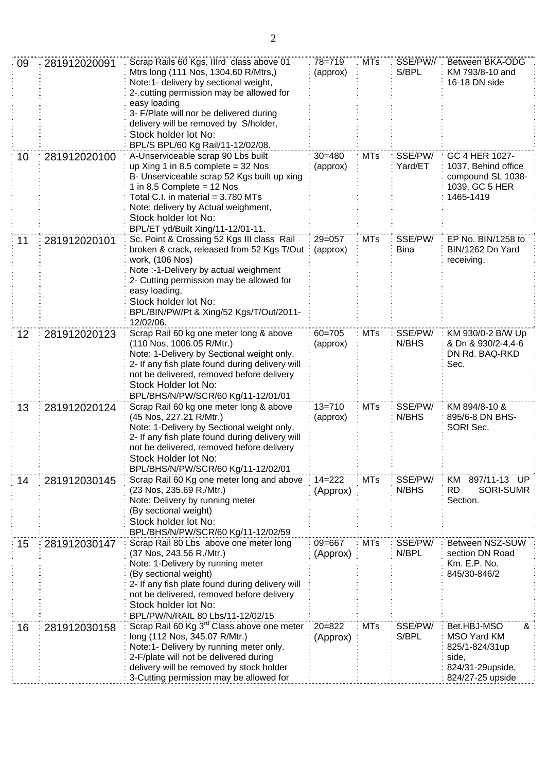| 09 | 281912020091 | Scrap Rails 60 Kgs, Illrd class above 01<br>Mtrs long (111 Nos, 1304.60 R/Mtrs,)<br>Note:1- delivery by sectional weight,<br>2-.cutting permission may be allowed for<br>easy loading<br>3- F/Plate will nor be delivered during<br>delivery will be removed by S/holder,<br>Stock holder lot No:<br>BPL/S BPL/60 Kg Rail/11-12/02/08. | $78 = 719$<br>(approx) | <b>MTs</b> | SSE/PW//<br>S/BPL      | Between BKA-ODG<br>KM 793/8-10 and<br>16-18 DN side                                                |
|----|--------------|----------------------------------------------------------------------------------------------------------------------------------------------------------------------------------------------------------------------------------------------------------------------------------------------------------------------------------------|------------------------|------------|------------------------|----------------------------------------------------------------------------------------------------|
| 10 | 281912020100 | A-Unserviceable scrap 90 Lbs built<br>up Xing 1 in 8.5 complete = $32$ Nos<br>B- Unserviceable scrap 52 Kgs built up xing<br>1 in 8.5 Complete = $12$ Nos<br>Total C.I. in material = 3.780 MTs<br>Note: delivery by Actual weighment,<br>Stock holder lot No:<br>BPL/ET yd/Built Xing/11-12/01-11.                                    | $30 = 480$<br>(approx) | <b>MTs</b> | SSE/PW/<br>Yard/ET     | GC 4 HER 1027-<br>1037, Behind office<br>compound SL 1038-<br>1039, GC 5 HER<br>1465-1419          |
| 11 | 281912020101 | Sc. Point & Crossing 52 Kgs III class Rail<br>broken & crack, released from 52 Kgs T/Out<br>work, (106 Nos)<br>Note :- 1-Delivery by actual weighment<br>2- Cutting permission may be allowed for<br>easy loading,<br>Stock holder lot No:<br>BPL/BIN/PW/Pt & Xing/52 Kgs/T/Out/2011-<br>12/02/06.                                     | $29 = 057$<br>(approx) | <b>MTs</b> | SSE/PW/<br><b>Bina</b> | EP No. BIN/1258 to<br>BIN/1262 Dn Yard<br>receiving.                                               |
| 12 | 281912020123 | Scrap Rail 60 kg one meter long & above<br>(110 Nos, 1006.05 R/Mtr.)<br>Note: 1-Delivery by Sectional weight only.<br>2- If any fish plate found during delivery will<br>not be delivered, removed before delivery<br>Stock Holder lot No:<br>BPL/BHS/N/PW/SCR/60 Kg/11-12/01/01                                                       | $60 = 705$<br>(approx) | <b>MTs</b> | SSE/PW/<br>N/BHS       | KM 930/0-2 B/W Up<br>& Dn & 930/2-4,4-6<br>DN Rd. BAQ-RKD<br>Sec.                                  |
| 13 | 281912020124 | Scrap Rail 60 kg one meter long & above<br>(45 Nos, 227.21 R/Mtr.)<br>Note: 1-Delivery by Sectional weight only.<br>2- If any fish plate found during delivery will<br>not be delivered, removed before delivery<br>Stock Holder lot No:<br>BPL/BHS/N/PW/SCR/60 Kg/11-12/02/01                                                         | $13 = 710$<br>(approx) | <b>MTs</b> | SSE/PW/<br>N/BHS       | KM 894/8-10 &<br>895/6-8 DN BHS-<br>SORI Sec.                                                      |
| 14 | 281912030145 | Scrap Rail 60 Kg one meter long and above<br>(23 Nos, 235.69 R./Mtr.)<br>Note: Delivery by running meter<br>(By sectional weight)<br>Stock holder lot No:<br>BPL/BHS/N/PW/SCR/60 Kg/11-12/02/59                                                                                                                                        | $14 = 222$<br>(Approx) | <b>MTs</b> | SSE/PW/<br>N/BHS       | 897/11-13 UP<br>KM<br><b>RD</b><br><b>SORI-SUMR</b><br>Section.                                    |
| 15 | 281912030147 | Scrap Rail 80 Lbs above one meter long<br>(37 Nos, 243.56 R./Mtr.)<br>Note: 1-Delivery by running meter<br>(By sectional weight)<br>2- If any fish plate found during delivery will<br>not be delivered, removed before delivery<br>Stock holder lot No:<br>BPL/PW/N/RAIL 80 Lbs/11-12/02/15                                           | 09=667<br>(Approx)     | <b>MTs</b> | SSE/PW/<br>N/BPL       | Between NSZ-SUW<br>section DN Road<br>Km. E.P. No.<br>845/30-846/2                                 |
| 16 | 281912030158 | Scrap Rail 60 Kg 3 <sup>rd</sup> Class above one meter<br>long (112 Nos, 345.07 R/Mtr.)<br>Note:1- Delivery by running meter only.<br>2-F/plate will not be delivered during<br>delivery will be removed by stock holder<br>3-Cutting permission may be allowed for                                                                    | $20 = 822$<br>(Approx) | <b>MTs</b> | SSE/PW/<br>S/BPL       | Bet.HBJ-MSO<br>&<br>MSO Yard KM<br>825/1-824/31up<br>side,<br>824/31-29upside,<br>824/27-25 upside |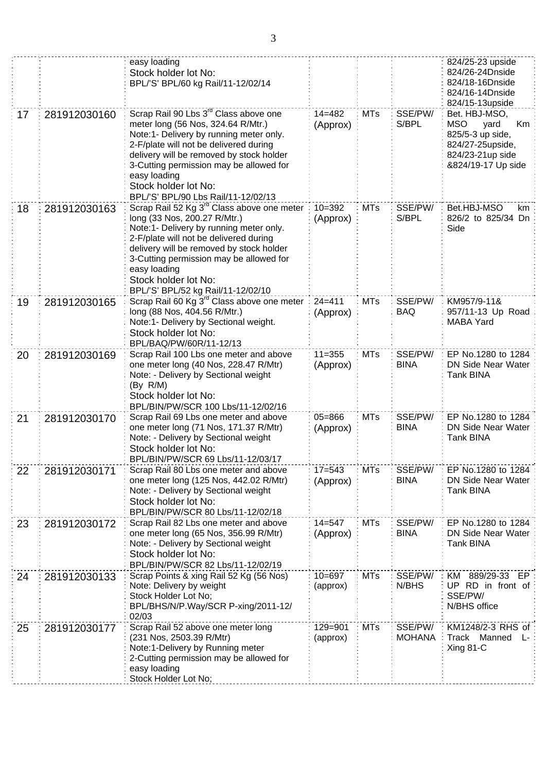|    |              | easy loading<br>Stock holder lot No:<br>BPL/'S' BPL/60 kg Rail/11-12/02/14                                                                                                                                                                                                                                                                         |                        |            |                          | 824/25-23 upside<br>824/26-24Dnside<br>824/18-16Dnside<br>824/16-14Dnside<br>824/15-13upside                                |
|----|--------------|----------------------------------------------------------------------------------------------------------------------------------------------------------------------------------------------------------------------------------------------------------------------------------------------------------------------------------------------------|------------------------|------------|--------------------------|-----------------------------------------------------------------------------------------------------------------------------|
| 17 | 281912030160 | Scrap Rail 90 Lbs 3 <sup>rd</sup> Class above one<br>meter long (56 Nos, 324.64 R/Mtr.)<br>Note:1- Delivery by running meter only.<br>2-F/plate will not be delivered during<br>delivery will be removed by stock holder<br>3-Cutting permission may be allowed for<br>easy loading<br>Stock holder lot No:<br>BPL/'S' BPL/90 Lbs Rail/11-12/02/13 | $14 = 482$<br>(Approx) | <b>MTs</b> | SSE/PW/<br>S/BPL         | Bet. HBJ-MSO,<br><b>MSO</b><br>yard<br>Km<br>825/5-3 up side,<br>824/27-25upside,<br>824/23-21up side<br>&824/19-17 Up side |
| 18 | 281912030163 | Scrap Rail 52 Kg 3 <sup>rd</sup> Class above one meter<br>long (33 Nos, 200.27 R/Mtr.)<br>Note:1- Delivery by running meter only.<br>2-F/plate will not be delivered during<br>delivery will be removed by stock holder<br>3-Cutting permission may be allowed for<br>easy loading<br>Stock holder lot No:<br>BPL/'S' BPL/52 kg Rail/11-12/02/10   | $10 = 392$<br>(Approx) | <b>MTs</b> | SSE/PW/<br>S/BPL         | Bet.HBJ-MSO<br>km<br>826/2 to 825/34 Dn<br>Side                                                                             |
| 19 | 281912030165 | Scrap Rail 60 Kg 3 <sup>rd</sup> Class above one meter<br>long (88 Nos, 404.56 R/Mtr.)<br>Note:1- Delivery by Sectional weight.<br>Stock holder lot No:<br>BPL/BAQ/PW/60R/11-12/13                                                                                                                                                                 | $24 = 411$<br>(Approx) | <b>MTs</b> | SSE/PW/<br><b>BAQ</b>    | KM957/9-11&<br>957/11-13 Up Road<br><b>MABA Yard</b>                                                                        |
| 20 | 281912030169 | Scrap Rail 100 Lbs one meter and above<br>one meter long (40 Nos, 228.47 R/Mtr)<br>Note: - Delivery by Sectional weight<br>(By R/M)<br>Stock holder lot No:<br>BPL/BIN/PW/SCR 100 Lbs/11-12/02/16                                                                                                                                                  | $11 = 355$<br>(Approx) | <b>MTs</b> | SSE/PW/<br><b>BINA</b>   | EP No.1280 to 1284<br><b>DN Side Near Water</b><br>Tank BINA                                                                |
| 21 | 281912030170 | Scrap Rail 69 Lbs one meter and above<br>one meter long (71 Nos, 171.37 R/Mtr)<br>Note: - Delivery by Sectional weight<br>Stock holder lot No:<br>BPL/BIN/PW/SCR 69 Lbs/11-12/03/17                                                                                                                                                                | $05 = 866$<br>(Approx) | <b>MTs</b> | SSE/PW/<br><b>BINA</b>   | EP No.1280 to 1284<br>DN Side Near Water<br><b>Tank BINA</b>                                                                |
| 22 | 281912030171 | Scrap Rail 80 Lbs one meter and above<br>one meter long (125 Nos, 442.02 R/Mtr)<br>Note: - Delivery by Sectional weight<br>Stock holder lot No:<br>BPL/BIN/PW/SCR 80 Lbs/11-12/02/18                                                                                                                                                               | $17 = 543$<br>(Approx) | <b>MTs</b> | SSE/PW/<br><b>BINA</b>   | EP No.1280 to 1284<br>DN Side Near Water<br><b>Tank BINA</b>                                                                |
| 23 | 281912030172 | Scrap Rail 82 Lbs one meter and above<br>one meter long (65 Nos, 356.99 R/Mtr)<br>Note: - Delivery by Sectional weight<br>Stock holder lot No:<br>BPL/BIN/PW/SCR 82 Lbs/11-12/02/19                                                                                                                                                                | $14 = 547$<br>(Approx) | <b>MTs</b> | SSE/PW/<br><b>BINA</b>   | EP No.1280 to 1284<br>DN Side Near Water<br>Tank BINA                                                                       |
| 24 | 281912030133 | Scrap Points & xing Rail 52 Kg (56 Nos)<br>Note: Delivery by weight<br>Stock Holder Lot No;<br>BPL/BHS/N/P.Way/SCR P-xing/2011-12/<br>02/03                                                                                                                                                                                                        | $10 = 697$<br>(approx) | <b>MTs</b> | SSE/PW/<br>N/BHS         | KM 889/29-33<br>EP.<br>UP RD in front of:<br>SSE/PW/<br>N/BHS office                                                        |
| 25 | 281912030177 | Scrap Rail 52 above one meter long<br>(231 Nos, 2503.39 R/Mtr)<br>Note:1-Delivery by Running meter<br>2-Cutting permission may be allowed for<br>easy loading<br>Stock Holder Lot No;                                                                                                                                                              | 129=901<br>(approx)    | <b>MTs</b> | SSE/PW/<br><b>MOHANA</b> | KM1248/2-3 RHS of:<br><b>Track</b><br>Manned<br>Ŀ.<br>Xing 81-C                                                             |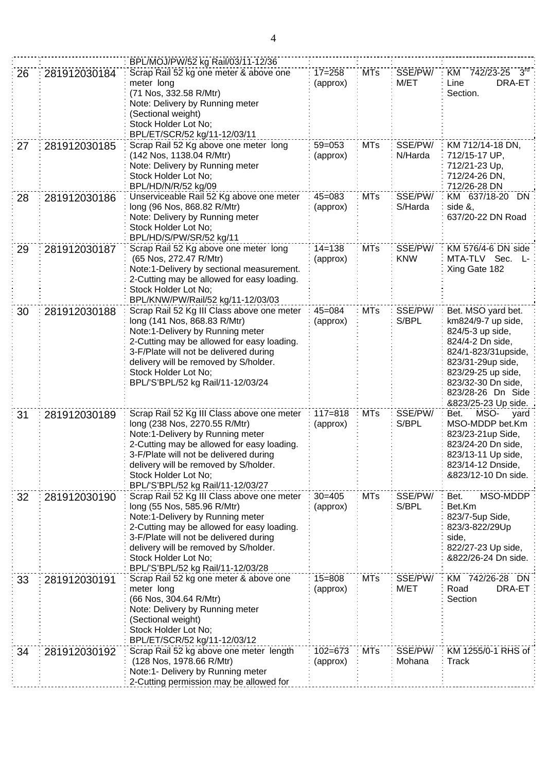|    |              | BPL/MOJ/PW/52 kg Rail/03/11-12/36                                                                                                                                                                                                                                                                             |                         |            |                       |                                                                                                                                                                                                                      |
|----|--------------|---------------------------------------------------------------------------------------------------------------------------------------------------------------------------------------------------------------------------------------------------------------------------------------------------------------|-------------------------|------------|-----------------------|----------------------------------------------------------------------------------------------------------------------------------------------------------------------------------------------------------------------|
| 26 | 281912030184 | Scrap Rail 52 kg one meter & above one<br>meter long<br>(71 Nos, 332.58 R/Mtr)<br>Note: Delivery by Running meter<br>(Sectional weight)<br>Stock Holder Lot No;<br>BPL/ET/SCR/52 kg/11-12/03/11                                                                                                               | $17 = 258$<br>(approx)  | <b>MTs</b> | SSE/PW/<br>M/ET       | $3^{rd}$<br>KM 742/23-25<br>Line<br>DRA-ET<br>Section.                                                                                                                                                               |
| 27 | 281912030185 | Scrap Rail 52 Kg above one meter long<br>(142 Nos, 1138.04 R/Mtr)<br>Note: Delivery by Running meter<br>Stock Holder Lot No;<br>BPL/HD/N/R/52 kg/09                                                                                                                                                           | $59 = 053$<br>(approx)  | <b>MTs</b> | SSE/PW/<br>N/Harda    | KM 712/14-18 DN,<br>712/15-17 UP,<br>712/21-23 Up,<br>712/24-26 DN,<br>712/26-28 DN                                                                                                                                  |
| 28 | 281912030186 | Unserviceable Rail 52 Kg above one meter<br>long (96 Nos, 868.82 R/Mtr)<br>Note: Delivery by Running meter<br>Stock Holder Lot No;<br>BPL/HD/S/PW/SR/52 kg/11                                                                                                                                                 | $45 = 083$<br>(approx)  | <b>MTs</b> | SSE/PW/<br>S/Harda    | KM 637/18-20 DN<br>side &,<br>637/20-22 DN Road                                                                                                                                                                      |
| 29 | 281912030187 | Scrap Rail 52 Kg above one meter long<br>(65 Nos, 272.47 R/Mtr)<br>Note:1-Delivery by sectional measurement.<br>2-Cutting may be allowed for easy loading.<br>Stock Holder Lot No;<br>BPL/KNW/PW/Rail/52 kg/11-12/03/03                                                                                       | $14 = 138$<br>(approx)  | <b>MTs</b> | SSE/PW/<br><b>KNW</b> | KM 576/4-6 DN side<br>MTA-TLV Sec.<br>Ŀ.<br>Xing Gate 182                                                                                                                                                            |
| 30 | 281912030188 | Scrap Rail 52 Kg III Class above one meter<br>long (141 Nos, 868.83 R/Mtr)<br>Note:1-Delivery by Running meter<br>2-Cutting may be allowed for easy loading.<br>3-F/Plate will not be delivered during<br>delivery will be removed by S/holder.<br>Stock Holder Lot No;<br>BPL/'S'BPL/52 kg Rail/11-12/03/24  | $45 = 084$<br>(approx)  | <b>MTs</b> | SSE/PW/<br>S/BPL      | Bet. MSO yard bet.<br>km824/9-7 up side,<br>824/5-3 up side,<br>824/4-2 Dn side,<br>824/1-823/31upside,<br>823/31-29up side,<br>823/29-25 up side,<br>823/32-30 Dn side,<br>823/28-26 Dn Side<br>&823/25-23 Up side. |
| 31 | 281912030189 | Scrap Rail 52 Kg III Class above one meter<br>long (238 Nos, 2270.55 R/Mtr)<br>Note:1-Delivery by Running meter<br>2-Cutting may be allowed for easy loading.<br>3-F/Plate will not be delivered during<br>delivery will be removed by S/holder.<br>Stock Holder Lot No;<br>BPL/'S'BPL/52 kg Rail/11-12/03/27 | $117 = 818$<br>(approx) | <b>MTs</b> | SSE/PW/<br>S/BPL      | MSO-<br>Bet.<br>yard<br>MSO-MDDP bet.Km<br>823/23-21up Side,<br>823/24-20 Dn side,<br>823/13-11 Up side,<br>823/14-12 Dnside,<br>&823/12-10 Dn side.                                                                 |
| 32 | 281912030190 | Scrap Rail 52 Kg III Class above one meter<br>long (55 Nos, 585.96 R/Mtr)<br>Note:1-Delivery by Running meter<br>2-Cutting may be allowed for easy loading.<br>3-F/Plate will not be delivered during<br>delivery will be removed by S/holder.<br>Stock Holder Lot No;<br>BPL/'S'BPL/52 kg Rail/11-12/03/28   | $30 = 405$<br>(approx)  | <b>MTs</b> | SSE/PW/<br>S/BPL      | MSO-MDDP<br>Bet.<br>Bet.Km<br>823/7-5up Side,<br>823/3-822/29Up<br>side,<br>822/27-23 Up side,<br>&822/26-24 Dn side.                                                                                                |
| 33 | 281912030191 | Scrap Rail 52 kg one meter & above one<br>meter long<br>(66 Nos, 304.64 R/Mtr)<br>Note: Delivery by Running meter<br>(Sectional weight)<br>Stock Holder Lot No;<br>BPL/ET/SCR/52 kg/11-12/03/12                                                                                                               | $15 = 808$<br>(approx)  | <b>MTs</b> | SSE/PW/<br>M/ET       | KM 742/26-28 DN<br>Road<br>DRA-ET<br>Section                                                                                                                                                                         |
| 34 | 281912030192 | Scrap Rail 52 kg above one meter length<br>(128 Nos, 1978.66 R/Mtr)<br>Note:1- Delivery by Running meter<br>2-Cutting permission may be allowed for                                                                                                                                                           | $102 = 673$<br>(approx) | <b>MTs</b> | SSE/PW/<br>Mohana     | KM 1255/0-1 RHS of<br>Track                                                                                                                                                                                          |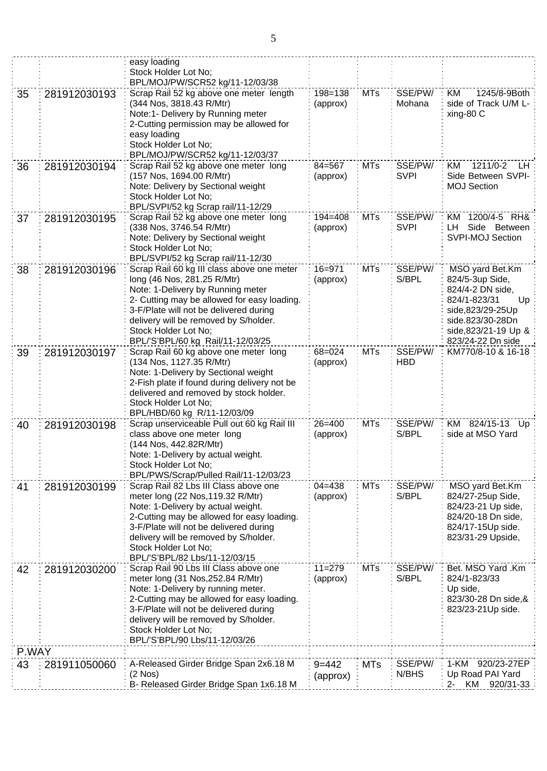| 43    | 281911050060 | A-Released Girder Bridge Span 2x6.18 M<br>$(2$ Nos $)$<br>B- Released Girder Bridge Span 1x6.18 M                                                                                                                                                                                                             | $9 = 442$<br>(approx)   | <b>MTs</b> | SSE/PW/<br>N/BHS       | 1-KM<br>920/23-27EP<br>Up Road PAI Yard<br>KM<br>920/31-33<br>2-                                                                                                  |
|-------|--------------|---------------------------------------------------------------------------------------------------------------------------------------------------------------------------------------------------------------------------------------------------------------------------------------------------------------|-------------------------|------------|------------------------|-------------------------------------------------------------------------------------------------------------------------------------------------------------------|
| P.WAY |              |                                                                                                                                                                                                                                                                                                               |                         |            |                        |                                                                                                                                                                   |
| 42    | 281912030200 | Scrap Rail 90 Lbs III Class above one<br>meter long (31 Nos, 252.84 R/Mtr)<br>Note: 1-Delivery by running meter.<br>2-Cutting may be allowed for easy loading.<br>3-F/Plate will not be delivered during<br>delivery will be removed by S/holder.<br>Stock Holder Lot No;<br>BPL/'S'BPL/90 Lbs/11-12/03/26    | $11 = 279$<br>(approx)  | <b>MTs</b> | SSE/PW/<br>S/BPL       | Bet. MSO Yard .Km<br>824/1-823/33<br>Up side,<br>823/30-28 Dn side, &<br>823/23-21Up side.                                                                        |
| 41    | 281912030199 | Scrap Rail 82 Lbs III Class above one<br>meter long (22 Nos, 119.32 R/Mtr)<br>Note: 1-Delivery by actual weight.<br>2-Cutting may be allowed for easy loading.<br>3-F/Plate will not be delivered during<br>delivery will be removed by S/holder.<br>Stock Holder Lot No;<br>BPL/'S'BPL/82 Lbs/11-12/03/15    | $04 = 438$<br>(approx)  | <b>MTs</b> | SSE/PW/<br>S/BPL       | MSO yard Bet.Km<br>824/27-25up Side,<br>824/23-21 Up side,<br>824/20-18 Dn side,<br>824/17-15Up side.<br>823/31-29 Upside,                                        |
| 40    | 281912030198 | Scrap unserviceable Pull out 60 kg Rail III<br>class above one meter long<br>(144 Nos, 442.82R/Mtr)<br>Note: 1-Delivery by actual weight.<br>Stock Holder Lot No;<br>BPL/PWS/Scrap/Pulled Rail/11-12/03/23                                                                                                    | $26 = 400$<br>(approx)  | <b>MTs</b> | SSE/PW/<br>S/BPL       | KM 824/15-13 Up<br>side at MSO Yard                                                                                                                               |
| 39    | 281912030197 | Scrap Rail 60 kg above one meter long<br>(134 Nos, 1127.35 R/Mtr)<br>Note: 1-Delivery by Sectional weight<br>2-Fish plate if found during delivery not be<br>delivered and removed by stock holder.<br>Stock Holder Lot No;<br>BPL/HBD/60 kg R/11-12/03/09                                                    | 68=024<br>(approx)      | <b>MTs</b> | SSE/PW/<br><b>HBD</b>  | KM770/8-10 & 16-18                                                                                                                                                |
| 38    | 281912030196 | Scrap Rail 60 kg III class above one meter<br>long (46 Nos, 281.25 R/Mtr)<br>Note: 1-Delivery by Running meter<br>2- Cutting may be allowed for easy loading.<br>3-F/Plate will not be delivered during<br>delivery will be removed by S/holder.<br>Stock Holder Lot No;<br>BPL/'S'BPL/60 kg Rail/11-12/03/25 | 16=971<br>(approx)      | <b>MTs</b> | SSE/PW/<br>S/BPL       | MSO yard Bet.Km<br>824/5-3up Side,<br>824/4-2 DN side,<br>824/1-823/31<br>Up<br>side,823/29-25Up<br>side.823/30-28Dn<br>side, 823/21-19 Up &<br>823/24-22 Dn side |
| 37    | 281912030195 | Scrap Rail 52 kg above one meter long<br>(338 Nos, 3746.54 R/Mtr)<br>Note: Delivery by Sectional weight<br>Stock Holder Lot No;<br>BPL/SVPI/52 kg Scrap rail/11-12/30                                                                                                                                         | $194 = 408$<br>(approx) | <b>MTs</b> | SSE/PW/<br><b>SVPI</b> | 1200/4-5 RH&<br>KM.<br>Side Between<br>LH.<br><b>SVPI-MOJ Section</b>                                                                                             |
| 36    | 281912030194 | Scrap Rail 52 kg above one meter long<br>(157 Nos, 1694.00 R/Mtr)<br>Note: Delivery by Sectional weight<br>Stock Holder Lot No;<br>BPL/SVPI/52 kg Scrap rail/11-12/29                                                                                                                                         | $84 = 567$<br>(approx)  | <b>MTs</b> | SSE/PW/<br><b>SVPI</b> | 1211/0-2<br>KM<br>LH.<br>Side Between SVPI-<br><b>MOJ Section</b>                                                                                                 |
| 35    | 281912030193 | Scrap Rail 52 kg above one meter length<br>(344 Nos, 3818.43 R/Mtr)<br>Note:1- Delivery by Running meter<br>2-Cutting permission may be allowed for<br>easy loading<br>Stock Holder Lot No;<br>BPL/MOJ/PW/SCR52 kg/11-12/03/37                                                                                | 198=138<br>(approx)     | <b>MTs</b> | SSE/PW/<br>Mohana      | 1245/8-9Both<br>KM<br>side of Track U/M L-<br>xing-80 C                                                                                                           |
|       |              | easy loading<br>Stock Holder Lot No;<br>BPL/MOJ/PW/SCR52 kg/11-12/03/38                                                                                                                                                                                                                                       |                         |            |                        |                                                                                                                                                                   |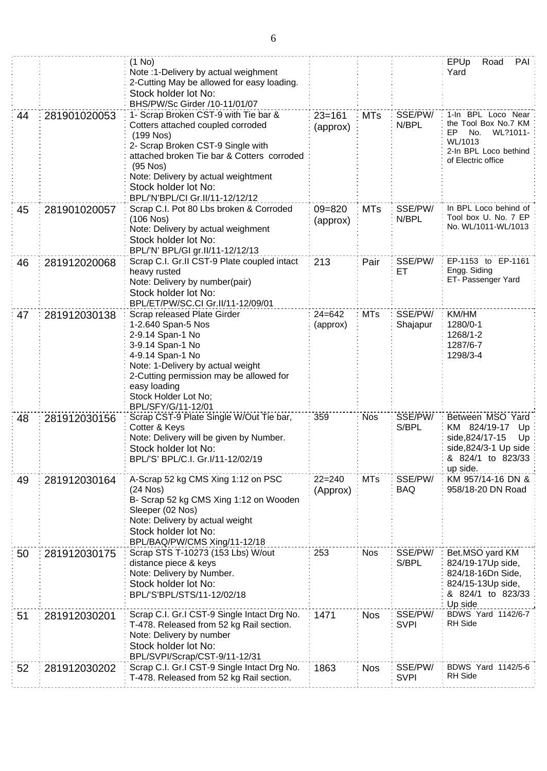|    |              | $(1$ No)<br>Note :1-Delivery by actual weighment<br>2-Cutting May be allowed for easy loading.<br>Stock holder lot No:<br>BHS/PW/Sc Girder /10-11/01/07                                                                                                                                     |                        |            |                        | EPUp<br>PAI<br>Road<br>Yard                                                                                                   |
|----|--------------|---------------------------------------------------------------------------------------------------------------------------------------------------------------------------------------------------------------------------------------------------------------------------------------------|------------------------|------------|------------------------|-------------------------------------------------------------------------------------------------------------------------------|
| 44 | 281901020053 | 1- Scrap Broken CST-9 with Tie bar &<br>Cotters attached coupled corroded<br>$(199$ Nos)<br>2- Scrap Broken CST-9 Single with<br>attached broken Tie bar & Cotters corroded<br>$(95$ Nos)<br>Note: Delivery by actual weightment<br>Stock holder lot No:<br>BPL/'N'BPL/CI Gr.II/11-12/12/12 | $23 = 161$<br>(approx) | <b>MTs</b> | SSE/PW/<br>N/BPL       | 1-In BPL Loco Near<br>the Tool Box No.7 KM<br>EP<br>WL?1011-<br>No.<br>WL/1013<br>2-In BPL Loco bethind<br>of Electric office |
| 45 | 281901020057 | Scrap C.I. Pot 80 Lbs broken & Corroded<br>(106 Nos)<br>Note: Delivery by actual weighment<br>Stock holder lot No:<br>BPL/'N' BPL/GI gr.II/11-12/12/13                                                                                                                                      | $09 = 820$<br>(approx) | <b>MTs</b> | SSE/PW/<br>N/BPL       | In BPL Loco behind of<br>Tool box U. No. 7 EP<br>No. WL/1011-WL/1013                                                          |
| 46 | 281912020068 | Scrap C.I. Gr.II CST-9 Plate coupled intact<br>heavy rusted<br>Note: Delivery by number(pair)<br>Stock holder lot No:<br>BPL/ET/PW/SC.CI Gr.II/11-12/09/01                                                                                                                                  | 213                    | Pair       | SSE/PW/<br>ET          | EP-1153 to EP-1161<br>Engg. Siding<br>ET- Passenger Yard                                                                      |
| 47 | 281912030138 | Scrap released Plate Girder<br>1-2.640 Span-5 Nos<br>2-9.14 Span-1 No<br>3-9.14 Span-1 No<br>4-9.14 Span-1 No<br>Note: 1-Delivery by actual weight<br>2-Cutting permission may be allowed for<br>easy loading<br>Stock Holder Lot No;<br>BPL/SFY/G/11-12/01                                 | $24 = 642$<br>(approx) | <b>MTs</b> | SSE/PW/<br>Shajapur    | KM/HM<br>1280/0-1<br>1268/1-2<br>1287/6-7<br>1298/3-4                                                                         |
| 48 | 281912030156 | Scrap CST-9 Plate Single W/Out Tie bar,<br>Cotter & Keys<br>Note: Delivery will be given by Number.<br>Stock holder lot No:<br>BPL/'S' BPL/C.I. Gr.I/11-12/02/19                                                                                                                            | 359                    | <b>Nos</b> | SSE/PW/<br>S/BPL       | Between MSO Yard<br>KM 824/19-17<br>Up<br>side, 824/17-15<br>Up<br>side, 824/3-1 Up side<br>& 824/1 to 823/33<br>up side.     |
| 49 | 281912030164 | A-Scrap 52 kg CMS Xing 1:12 on PSC<br>$(24$ Nos $)$<br>B- Scrap 52 kg CMS Xing 1:12 on Wooden<br>Sleeper (02 Nos)<br>Note: Delivery by actual weight<br>Stock holder lot No:<br>BPL/BAQ/PW/CMS Xing/11-12/18                                                                                | $22 = 240$<br>(Approx) | <b>MTs</b> | SSE/PW/<br>BAQ         | KM 957/14-16 DN &<br>958/18-20 DN Road                                                                                        |
| 50 | 281912030175 | Scrap STS T-10273 (153 Lbs) W/out<br>distance piece & keys<br>Note: Delivery by Number.<br>Stock holder lot No:<br>BPL/'S'BPL/STS/11-12/02/18                                                                                                                                               | 253                    | <b>Nos</b> | SSE/PW/<br>S/BPL       | Bet.MSO yard KM<br>824/19-17Up side,<br>824/18-16Dn Side,<br>824/15-13Up side,<br>& 824/1 to 823/33<br>Up side                |
| 51 | 281912030201 | Scrap C.I. Gr.I CST-9 Single Intact Drg No.<br>T-478. Released from 52 kg Rail section.<br>Note: Delivery by number<br>Stock holder lot No:<br>BPL/SVPI/Scrap/CST-9/11-12/31                                                                                                                | 1471                   | <b>Nos</b> | SSE/PW/<br><b>SVPI</b> | BDWS Yard 1142/6-7<br><b>RH</b> Side                                                                                          |
| 52 | 281912030202 | Scrap C.I. Gr.I CST-9 Single Intact Drg No.<br>T-478. Released from 52 kg Rail section.                                                                                                                                                                                                     | 1863                   | <b>Nos</b> | SSE/PW/<br><b>SVPI</b> | BDWS Yard 1142/5-6<br>RH Side                                                                                                 |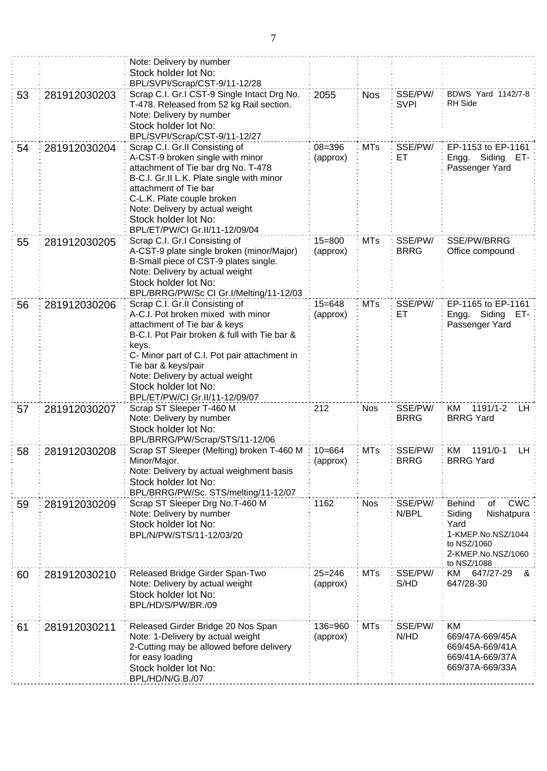|    |              | Note: Delivery by number<br>Stock holder lot No:<br>BPL/SVPI/Scrap/CST-9/11-12/28                                                                                                                                                                                                                                                 |                        |            |                        |                                                                                                                                             |
|----|--------------|-----------------------------------------------------------------------------------------------------------------------------------------------------------------------------------------------------------------------------------------------------------------------------------------------------------------------------------|------------------------|------------|------------------------|---------------------------------------------------------------------------------------------------------------------------------------------|
| 53 | 281912030203 | Scrap C.I. Gr.I CST-9 Single Intact Drg No.<br>T-478. Released from 52 kg Rail section.<br>Note: Delivery by number<br>Stock holder lot No:<br>BPL/SVPI/Scrap/CST-9/11-12/27                                                                                                                                                      | 2055                   | <b>Nos</b> | SSE/PW/<br><b>SVPI</b> | BDWS Yard 1142/7-8<br><b>RH</b> Side                                                                                                        |
| 54 | 281912030204 | Scrap C.I. Gr.II Consisting of<br>A-CST-9 broken single with minor<br>attachment of Tie bar drg No. T-478<br>B-C.I. Gr.II L.K. Plate single with minor<br>attachment of Tie bar<br>C-L.K. Plate couple broken<br>Note: Delivery by actual weight<br>Stock holder lot No:<br>BPL/ET/PW/CI Gr.II/11-12/09/04                        | 08=396<br>(approx)     | <b>MTs</b> | SSE/PW/<br>ET          | EP-1153 to EP-1161<br>Engg. Siding<br>ET-<br>Passenger Yard                                                                                 |
| 55 | 281912030205 | Scrap C.I. Gr.I Consisting of<br>A-CST-9 plate single broken (minor/Major)<br>B-Small piece of CST-9 plates single.<br>Note: Delivery by actual weight<br>Stock holder lot No:<br>BPL/BRRG/PW/Sc CI Gr.I/Melting/11-12/03                                                                                                         | $15 = 800$<br>(approx) | <b>MTs</b> | SSE/PW/<br><b>BRRG</b> | SSE/PW/BRRG<br>Office compound                                                                                                              |
| 56 | 281912030206 | Scrap C.I. Gr.II Consisting of<br>A-C.I. Pot broken mixed with minor<br>attachment of Tie bar & keys<br>B-C.I. Pot Pair broken & full with Tie bar &<br>keys.<br>C- Minor part of C.I. Pot pair attachment in<br>Tie bar & keys/pair<br>Note: Delivery by actual weight<br>Stock holder lot No:<br>BPL/ET/PW/CI Gr.II/11-12/09/07 | $15 = 648$<br>(approx) | <b>MTs</b> | SSE/PW/<br>ЕT          | EP-1165 to EP-1161<br>Engg. Siding<br>ET-<br>Passenger Yard                                                                                 |
| 57 | 281912030207 | Scrap ST Sleeper T-460 M<br>Note: Delivery by number<br>Stock holder lot No:<br>BPL/BRRG/PW/Scrap/STS/11-12/06                                                                                                                                                                                                                    | 212                    | <b>Nos</b> | SSE/PW/<br><b>BRRG</b> | 1191/1-2<br>KM<br>LН<br><b>BRRG Yard</b>                                                                                                    |
| 58 | 281912030208 | Scrap ST Sleeper (Melting) broken T-460 M<br>Minor/Major.<br>Note: Delivery by actual weighment basis<br>Stock holder lot No:<br>BPL/BRRG/PW/Sc. STS/melting/11-12/07                                                                                                                                                             | : $10=664$<br>(approx) | MTs        | SSE/PW/<br><b>BRRG</b> | 1191/0-1<br>ΚM<br>LH :<br><b>BRRG Yard</b>                                                                                                  |
| 59 | 281912030209 | Scrap ST Sleeper Drg No.T-460 M<br>Note: Delivery by number<br>Stock holder lot No:<br>BPL/N/PW/STS/11-12/03/20                                                                                                                                                                                                                   | 1162                   | <b>Nos</b> | SSE/PW/<br>N/BPL       | <b>CWC</b><br><b>Behind</b><br>of<br>Siding<br>Nishatpura<br>Yard<br>1-KMEP.No.NSZ/1044<br>to NSZ/1060<br>2-KMEP.No.NSZ/1060<br>to NSZ/1088 |
| 60 | 281912030210 | Released Bridge Girder Span-Two<br>Note: Delivery by actual weight<br>Stock holder lot No:<br>BPL/HD/S/PW/BR./09                                                                                                                                                                                                                  | $25 = 246$<br>(approx) | <b>MTs</b> | SSE/PW/<br>S/HD        | KM<br>647/27-29<br>ଝ<br>647/28-30                                                                                                           |
| 61 | 281912030211 | Released Girder Bridge 20 Nos Span<br>Note: 1-Delivery by actual weight<br>2-Cutting may be allowed before delivery<br>for easy loading<br>Stock holder lot No:<br>BPL/HD/N/G.B./07                                                                                                                                               | 136=960<br>(approx)    | <b>MTs</b> | SSE/PW/<br>N/HD        | <b>KM</b><br>669/47A-669/45A<br>669/45A-669/41A<br>669/41A-669/37A<br>669/37A-669/33A                                                       |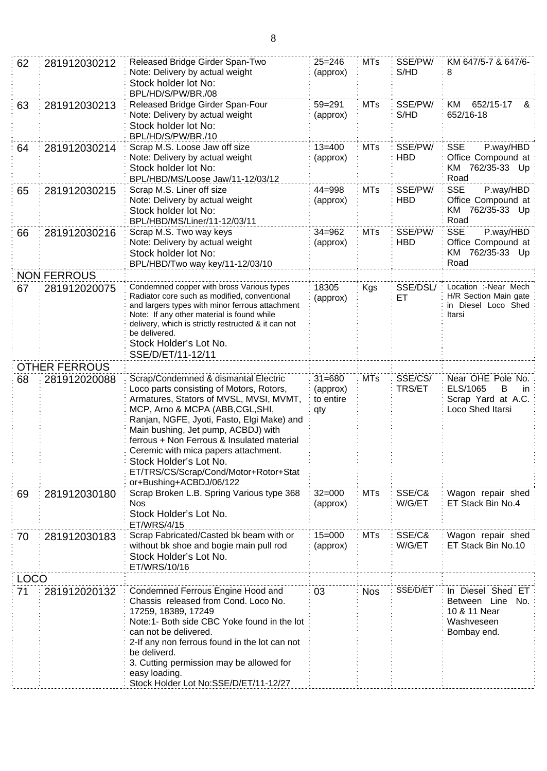| 62          | 281912030212         | Released Bridge Girder Span-Two<br>Note: Delivery by actual weight<br>Stock holder lot No:<br>BPL/HD/S/PW/BR./08                                                                                                                                                                                                                                                                                                                         | $25 = 246$<br>(approx)                     | <b>MTs</b> | SSE/PW/<br>S/HD       | KM 647/5-7 & 647/6-<br>8                                                              |
|-------------|----------------------|------------------------------------------------------------------------------------------------------------------------------------------------------------------------------------------------------------------------------------------------------------------------------------------------------------------------------------------------------------------------------------------------------------------------------------------|--------------------------------------------|------------|-----------------------|---------------------------------------------------------------------------------------|
| 63          | 281912030213         | Released Bridge Girder Span-Four<br>Note: Delivery by actual weight<br>Stock holder lot No:<br>BPL/HD/S/PW/BR./10                                                                                                                                                                                                                                                                                                                        | $59 = 291$<br>(approx)                     | <b>MTs</b> | SSE/PW/<br>S/HD       | KM<br>652/15-17<br>&<br>652/16-18                                                     |
| 64          | 281912030214         | Scrap M.S. Loose Jaw off size<br>Note: Delivery by actual weight<br>Stock holder lot No:<br>BPL/HBD/MS/Loose Jaw/11-12/03/12                                                                                                                                                                                                                                                                                                             | $13 = 400$<br>(approx)                     | <b>MTs</b> | SSE/PW/<br><b>HBD</b> | <b>SSE</b><br>P.way/HBD<br>Office Compound at<br>KM 762/35-33 Up<br>Road              |
| 65          | 281912030215         | Scrap M.S. Liner off size<br>Note: Delivery by actual weight<br>Stock holder lot No:<br>BPL/HBD/MS/Liner/11-12/03/11                                                                                                                                                                                                                                                                                                                     | $44 = 998$<br>(approx)                     | <b>MTs</b> | SSE/PW/<br><b>HBD</b> | <b>SSE</b><br>P.way/HBD<br>Office Compound at<br>KM 762/35-33 Up<br>Road              |
| 66          | 281912030216         | Scrap M.S. Two way keys<br>Note: Delivery by actual weight<br>Stock holder lot No:<br>BPL/HBD/Two way key/11-12/03/10                                                                                                                                                                                                                                                                                                                    | $34 = 962$<br>(approx)                     | <b>MTs</b> | SSE/PW/<br><b>HBD</b> | <b>SSE</b><br>P.way/HBD<br>Office Compound at<br>KM 762/35-33 Up<br>Road              |
|             | <b>NON FERROUS</b>   |                                                                                                                                                                                                                                                                                                                                                                                                                                          |                                            |            |                       |                                                                                       |
| 67          | 281912020075         | Condemned copper with bross Various types<br>Radiator core such as modified, conventional<br>and largers types with minor ferrous attachment<br>Note: If any other material is found while<br>delivery, which is strictly restructed & it can not<br>be delivered.<br>Stock Holder's Lot No.<br>SSE/D/ET/11-12/11                                                                                                                        | 18305<br>(approx)                          | Kgs        | SSE/DSL/<br>ET        | Location :-Near Mech<br>H/R Section Main gate<br>in Diesel Loco Shed<br>Itarsi        |
|             | <b>OTHER FERROUS</b> |                                                                                                                                                                                                                                                                                                                                                                                                                                          |                                            |            |                       |                                                                                       |
| 68          | 281912020088         | Scrap/Condemned & dismantal Electric<br>Loco parts consisting of Motors, Rotors,<br>Armatures, Stators of MVSL, MVSI, MVMT,<br>MCP, Arno & MCPA (ABB, CGL, SHI,<br>Ranjan, NGFE, Jyoti, Fasto, Elgi Make) and<br>Main bushing, Jet pump, ACBDJ) with<br>ferrous + Non Ferrous & Insulated material<br>Ceremic with mica papers attachment.<br>Stock Holder's Lot No.<br>ET/TRS/CS/Scrap/Cond/Motor+Rotor+Stat<br>or+Bushing+ACBDJ/06/122 | $31 = 680$<br>(approx)<br>to entire<br>qty | <b>MTs</b> | SSE/CS/<br>TRS/ET     | Near OHE Pole No.<br>ELS/1065<br>В<br>in.<br>Scrap Yard at A.C.<br>Loco Shed Itarsi   |
| 69          | 281912030180         | Scrap Broken L.B. Spring Various type 368<br><b>Nos</b><br>Stock Holder's Lot No.<br>ET/WRS/4/15                                                                                                                                                                                                                                                                                                                                         | $32 = 000$<br>(approx)                     | MTs        | SSE/C&<br>W/G/ET      | Wagon repair shed<br>ET Stack Bin No.4                                                |
| 70          | 281912030183         | Scrap Fabricated/Casted bk beam with or<br>without bk shoe and bogie main pull rod<br>Stock Holder's Lot No.<br>ET/WRS/10/16                                                                                                                                                                                                                                                                                                             | $15 = 000$<br>(approx)                     | <b>MTs</b> | SSE/C&<br>W/G/ET      | Wagon repair shed<br>ET Stack Bin No.10                                               |
| <b>LOCO</b> |                      |                                                                                                                                                                                                                                                                                                                                                                                                                                          |                                            |            |                       |                                                                                       |
| 71          | 281912020132         | Condemned Ferrous Engine Hood and<br>Chassis released from Cond. Loco No.<br>17259, 18389, 17249<br>Note:1- Both side CBC Yoke found in the lot<br>can not be delivered.<br>2-If any non ferrous found in the lot can not<br>be deliverd.<br>3. Cutting permission may be allowed for<br>easy loading.<br>Stock Holder Lot No:SSE/D/ET/11-12/27                                                                                          | 03                                         | <b>Nos</b> | SSE/D/ET              | In Diesel Shed ET<br>No.<br>Between Line<br>10 & 11 Near<br>Washveseen<br>Bombay end. |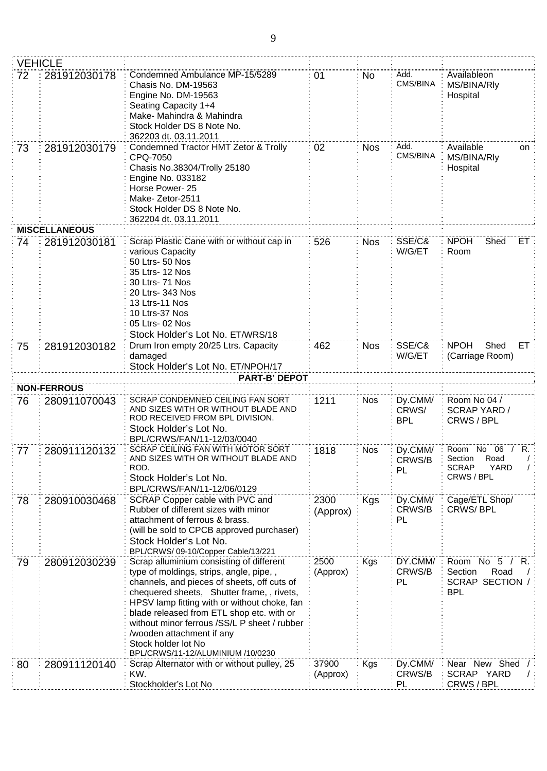|    | <b>VEHICLE</b>       |                                                                                                                                                                                                                                                                                                                                                                                                                       |                   |            |                         |                                                                                 |
|----|----------------------|-----------------------------------------------------------------------------------------------------------------------------------------------------------------------------------------------------------------------------------------------------------------------------------------------------------------------------------------------------------------------------------------------------------------------|-------------------|------------|-------------------------|---------------------------------------------------------------------------------|
| 72 | 281912030178         | Condemned Ambulance MP-15/5289<br>Chasis No. DM-19563<br>Engine No. DM-19563<br>Seating Capacity 1+4<br>Make- Mahindra & Mahindra<br>Stock Holder DS 8 Note No.<br>362203 dt. 03.11.2011                                                                                                                                                                                                                              | 01                | No         | Add.<br>CMS/BINA        | Availableon<br>MS/BINA/RIy<br>Hospital                                          |
| 73 | 281912030179         | Condemned Tractor HMT Zetor & Trolly<br>CPQ-7050<br>Chasis No.38304/Trolly 25180<br>Engine No. 033182<br>Horse Power-25<br>Make-Zetor-2511<br>Stock Holder DS 8 Note No.<br>362204 dt. 03.11.2011                                                                                                                                                                                                                     | 02                | <b>Nos</b> | Add.<br>CMS/BINA        | Available<br>on<br>MS/BINA/Rly<br>Hospital                                      |
|    | <b>MISCELLANEOUS</b> |                                                                                                                                                                                                                                                                                                                                                                                                                       |                   |            |                         |                                                                                 |
| 74 | 281912030181         | Scrap Plastic Cane with or without cap in<br>various Capacity<br>50 Ltrs- 50 Nos<br>35 Ltrs- 12 Nos<br>30 Ltrs- 71 Nos<br>20 Ltrs- 343 Nos<br>13 Ltrs-11 Nos<br>10 Ltrs-37 Nos<br>05 Ltrs- 02 Nos<br>Stock Holder's Lot No. ET/WRS/18                                                                                                                                                                                 | 526               | <b>Nos</b> | SSE/C&<br>W/G/ET        | <b>NPOH</b><br>Shed<br>ET.<br>Room                                              |
| 75 | 281912030182         | Drum Iron empty 20/25 Ltrs. Capacity<br>damaged<br>Stock Holder's Lot No. ET/NPOH/17                                                                                                                                                                                                                                                                                                                                  | 462               | <b>Nos</b> | SSE/C&<br>W/G/ET        | <b>NPOH</b><br>Shed<br>ET<br>(Carriage Room)                                    |
|    | <b>NON-FERROUS</b>   | <b>PART-B' DEPOT</b>                                                                                                                                                                                                                                                                                                                                                                                                  |                   |            |                         |                                                                                 |
| 76 | 280911070043         | SCRAP CONDEMNED CEILING FAN SORT                                                                                                                                                                                                                                                                                                                                                                                      | 1211              | <b>Nos</b> | Dy.CMM/                 | Room No 04 /                                                                    |
|    |                      | AND SIZES WITH OR WITHOUT BLADE AND<br>ROD RECEIVED FROM BPL DIVISION.<br>Stock Holder's Lot No.<br>BPL/CRWS/FAN/11-12/03/0040                                                                                                                                                                                                                                                                                        |                   |            | CRWS/<br>BPL            | <b>SCRAP YARD/</b><br>CRWS / BPL                                                |
| 77 | 280911120132         | SCRAP CEILING FAN WITH MOTOR SORT<br>AND SIZES WITH OR WITHOUT BLADE AND<br>ROD.<br>Stock Holder's Lot No.<br>BPL/CRWS/FAN/11-12/06/0129                                                                                                                                                                                                                                                                              | 1818              | <b>Nos</b> | Dy.CMM/<br>CRWS/B<br>PL | Room No 06 / R.<br>Road<br>Section<br><b>SCRAP</b><br><b>YARD</b><br>CRWS / BPL |
| 78 | 280910030468         | SCRAP Copper cable with PVC and<br>Rubber of different sizes with minor<br>attachment of ferrous & brass.<br>(will be sold to CPCB approved purchaser)<br>Stock Holder's Lot No.<br>BPL/CRWS/09-10/Copper Cable/13/221                                                                                                                                                                                                | 2300<br>(Approx)  | Kgs        | Dy.CMM/<br>CRWS/B<br>PL | Cage/ETL Shop/<br><b>CRWS/BPL</b>                                               |
| 79 | 280912030239         | Scrap alluminium consisting of different<br>type of moldings, strips, angle, pipe,,<br>channels, and pieces of sheets, off cuts of<br>chequered sheets, Shutter frame, , rivets,<br>HPSV lamp fitting with or without choke, fan<br>blade released from ETL shop etc. with or<br>without minor ferrous /SS/L P sheet / rubber<br>wooden attachment if any<br>Stock holder lot No<br>BPL/CRWS/11-12/ALUMINIUM /10/0230 | 2500<br>(Approx)  | <b>Kgs</b> | DY.CMM/<br>CRWS/B<br>PL | Room No 5<br>R.<br>Section<br>Road<br>SCRAP SECTION /<br><b>BPL</b>             |
| 80 | 280911120140         | Scrap Alternator with or without pulley, 25<br>KW.<br>Stockholder's Lot No                                                                                                                                                                                                                                                                                                                                            | 37900<br>(Approx) | Kgs        | Dy.CMM/<br>CRWS/B<br>PL | Near New Shed<br>SCRAP YARD<br>CRWS / BPL                                       |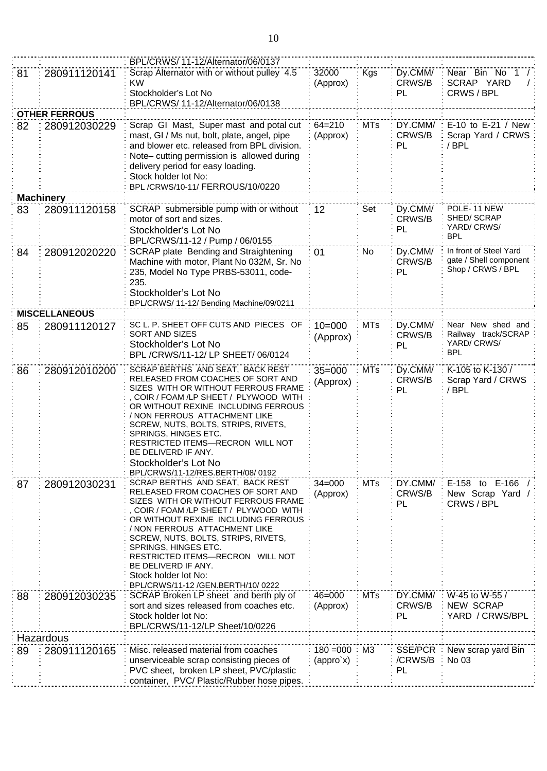|    |                      | BPL/CRWS/11-12/Alternator/06/0137                                                  |                                            |            |                    |                                                  |
|----|----------------------|------------------------------------------------------------------------------------|--------------------------------------------|------------|--------------------|--------------------------------------------------|
| 81 | 280911120141         | Scrap Alternator with or without pulley 4.5                                        | 32000                                      | Kgs        | Dy.CMM/            | Near Bin No 1 /                                  |
|    |                      | κw                                                                                 | (Approx)                                   |            | CRWS/B             | SCRAP YARD                                       |
|    |                      | Stockholder's Lot No<br>BPL/CRWS/11-12/Alternator/06/0138                          |                                            |            | PL                 | CRWS / BPL                                       |
|    | <b>OTHER FERROUS</b> |                                                                                    |                                            |            |                    |                                                  |
| 82 | 280912030229         | Scrap GI Mast, Super mast and potal cut                                            | $64 = 210$                                 | MTs        | DY.CMM/            | E-10 to E-21 / New                               |
|    |                      | mast, GI / Ms nut, bolt, plate, angel, pipe                                        | (Approx)                                   |            | CRWS/B             | Scrap Yard / CRWS                                |
|    |                      | and blower etc. released from BPL division.                                        |                                            |            | PL                 | / BPL                                            |
|    |                      | Note-cutting permission is allowed during                                          |                                            |            |                    |                                                  |
|    |                      | delivery period for easy loading.<br>Stock holder lot No:                          |                                            |            |                    |                                                  |
|    |                      | BPL/CRWS/10-11/ FERROUS/10/0220                                                    |                                            |            |                    |                                                  |
|    | <b>Machinery</b>     |                                                                                    |                                            |            |                    |                                                  |
| 83 | 280911120158         | SCRAP submersible pump with or without                                             | 12                                         | Set        | Dy.CMM/            | POLE-11 NEW                                      |
|    |                      | motor of sort and sizes.                                                           |                                            |            | CRWS/B             | SHED/SCRAP                                       |
|    |                      | Stockholder's Lot No                                                               |                                            |            | PL                 | YARD/ CRWS/<br><b>BPL</b>                        |
|    |                      | BPL/CRWS/11-12 / Pump / 06/0155                                                    |                                            |            |                    |                                                  |
| 84 | 280912020220         | SCRAP plate Bending and Straightening<br>Machine with motor, Plant No 032M, Sr. No | 01                                         | No         | Dy.CMM/<br>CRWS/B  | In front of Steel Yard<br>gate / Shell component |
|    |                      | 235, Model No Type PRBS-53011, code-                                               |                                            |            | PL                 | Shop / CRWS / BPL                                |
|    |                      | 235.                                                                               |                                            |            |                    |                                                  |
|    |                      | Stockholder's Lot No                                                               |                                            |            |                    |                                                  |
|    |                      | BPL/CRWS/ 11-12/ Bending Machine/09/0211                                           |                                            |            |                    |                                                  |
|    | <b>MISCELLANEOUS</b> | SC L. P. SHEET OFF CUTS AND PIECES OF                                              |                                            | <b>MTs</b> |                    | Near New shed and                                |
| 85 | 280911120127         | <b>SORT AND SIZES</b>                                                              | $10 = 000$                                 |            | Dy.CMM/<br>CRWS/B  | Railway track/SCRAP                              |
|    |                      | Stockholder's Lot No                                                               | (Approx)                                   |            | PL                 | YARD/ CRWS/                                      |
|    |                      | BPL /CRWS/11-12/ LP SHEET/ 06/0124                                                 |                                            |            |                    | <b>BPL</b>                                       |
| 86 | 280912010200         | <b>SCRAP BERTHS AND SEAT, BACK REST</b>                                            | $35 = 000$                                 | <b>MTs</b> | Dy.CMM/            | K-105 to K-130 /                                 |
|    |                      | RELEASED FROM COACHES OF SORT AND<br>SIZES WITH OR WITHOUT FERROUS FRAME           | (Approx)                                   |            | CRWS/B             | Scrap Yard / CRWS                                |
|    |                      | COIR / FOAM /LP SHEET / PLYWOOD WITH                                               |                                            |            | PL                 | /BPL                                             |
|    |                      | OR WITHOUT REXINE INCLUDING FERROUS                                                |                                            |            |                    |                                                  |
|    |                      | / NON FERROUS ATTACHMENT LIKE<br>SCREW, NUTS, BOLTS, STRIPS, RIVETS,               |                                            |            |                    |                                                  |
|    |                      | SPRINGS, HINGES ETC.                                                               |                                            |            |                    |                                                  |
|    |                      | RESTRICTED ITEMS-RECRON WILL NOT                                                   |                                            |            |                    |                                                  |
|    |                      | BE DELIVERD IF ANY.                                                                |                                            |            |                    |                                                  |
|    |                      | Stockholder's Lot No<br>BPL/CRWS/11-12/RES.BERTH/08/0192                           |                                            |            |                    |                                                  |
| 87 | 280912030231         | SCRAP BERTHS AND SEAT, BACK REST                                                   | $34 = 000$                                 | <b>MTs</b> | DY.CMM/            | E-158 to E-166 /                                 |
|    |                      | RELEASED FROM COACHES OF SORT AND                                                  | (Approx)                                   |            | CRWS/B             | New Scrap Yard /                                 |
|    |                      | SIZES WITH OR WITHOUT FERROUS FRAME<br>COIR / FOAM /LP SHEET / PLYWOOD WITH        |                                            |            | PL                 | CRWS / BPL                                       |
|    |                      | OR WITHOUT REXINE INCLUDING FERROUS                                                |                                            |            |                    |                                                  |
|    |                      | / NON FERROUS ATTACHMENT LIKE                                                      |                                            |            |                    |                                                  |
|    |                      | SCREW, NUTS, BOLTS, STRIPS, RIVETS,<br>SPRINGS, HINGES ETC.                        |                                            |            |                    |                                                  |
|    |                      | RESTRICTED ITEMS-RECRON WILL NOT                                                   |                                            |            |                    |                                                  |
|    |                      | BE DELIVERD IF ANY.                                                                |                                            |            |                    |                                                  |
|    |                      | Stock holder lot No:<br>BPL/CRWS/11-12 /GEN.BERTH/10/ 0222                         |                                            |            |                    |                                                  |
| 88 | 280912030235         | SCRAP Broken LP sheet and berth ply of                                             | $46 = 000$                                 | <b>MTs</b> | DY.CMM/            | W-45 to W-55 /                                   |
|    |                      | sort and sizes released from coaches etc.                                          | (Approx)                                   |            | CRWS/B             | NEW SCRAP                                        |
|    |                      | Stock holder lot No:                                                               |                                            |            | PL                 | YARD / CRWS/BPL                                  |
|    |                      | BPL/CRWS/11-12/LP Sheet/10/0226                                                    |                                            |            |                    |                                                  |
|    | Hazardous            |                                                                                    |                                            |            |                    |                                                  |
| 89 | 280911120165         | Misc. released material from coaches<br>unserviceable scrap consisting pieces of   | $180 = 000$<br>$\langle$ appro`x $\rangle$ | : M3       | SSE/PCR<br>/CRWS/B | New scrap yard Bin<br>No 03                      |
|    |                      | PVC sheet, broken LP sheet, PVC/plastic                                            |                                            |            | PL                 |                                                  |
|    |                      | container, PVC/ Plastic/Rubber hose pipes.                                         |                                            |            |                    |                                                  |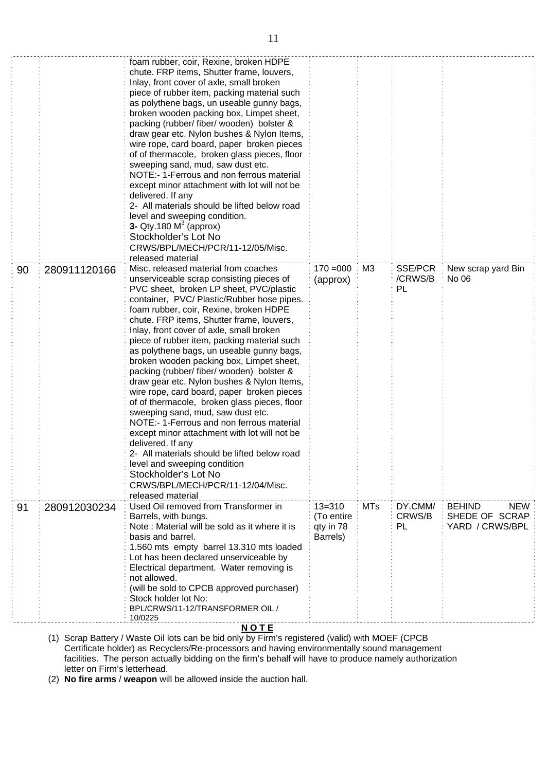|    |              | foam rubber, coir, Rexine, broken HDPE<br>chute. FRP items, Shutter frame, louvers,<br>Inlay, front cover of axle, small broken<br>piece of rubber item, packing material such<br>as polythene bags, un useable gunny bags,<br>broken wooden packing box, Limpet sheet,<br>packing (rubber/ fiber/ wooden) bolster &<br>draw gear etc. Nylon bushes & Nylon Items,<br>wire rope, card board, paper broken pieces<br>of of thermacole, broken glass pieces, floor<br>sweeping sand, mud, saw dust etc.<br>NOTE:- 1-Ferrous and non ferrous material<br>except minor attachment with lot will not be<br>delivered. If any<br>2- All materials should be lifted below road<br>level and sweeping condition.<br><b>3-</b> Qty.180 $M^3$ (approx)<br>Stockholder's Lot No<br>CRWS/BPL/MECH/PCR/11-12/05/Misc.<br>released material                                                                                                                                        |                                                   |                |                          |                                                                  |
|----|--------------|----------------------------------------------------------------------------------------------------------------------------------------------------------------------------------------------------------------------------------------------------------------------------------------------------------------------------------------------------------------------------------------------------------------------------------------------------------------------------------------------------------------------------------------------------------------------------------------------------------------------------------------------------------------------------------------------------------------------------------------------------------------------------------------------------------------------------------------------------------------------------------------------------------------------------------------------------------------------|---------------------------------------------------|----------------|--------------------------|------------------------------------------------------------------|
| 90 | 280911120166 | Misc. released material from coaches<br>unserviceable scrap consisting pieces of<br>PVC sheet, broken LP sheet, PVC/plastic<br>container, PVC/Plastic/Rubber hose pipes.<br>foam rubber, coir, Rexine, broken HDPE<br>chute. FRP items, Shutter frame, louvers,<br>Inlay, front cover of axle, small broken<br>piece of rubber item, packing material such<br>as polythene bags, un useable gunny bags,<br>broken wooden packing box, Limpet sheet,<br>packing (rubber/ fiber/ wooden) bolster &<br>draw gear etc. Nylon bushes & Nylon Items,<br>wire rope, card board, paper broken pieces<br>of of thermacole, broken glass pieces, floor<br>sweeping sand, mud, saw dust etc.<br>NOTE:- 1-Ferrous and non ferrous material<br>except minor attachment with lot will not be<br>delivered. If any<br>2- All materials should be lifted below road<br>level and sweeping condition<br>Stockholder's Lot No<br>CRWS/BPL/MECH/PCR/11-12/04/Misc.<br>released material | $170 = 000$<br>(approx)                           | M <sub>3</sub> | SSE/PCR<br>/CRWS/B<br>PL | New scrap yard Bin<br>No 06                                      |
| 91 | 280912030234 | Used Oil removed from Transformer in<br>Barrels, with bungs.<br>Note: Material will be sold as it where it is<br>basis and barrel.<br>1.560 mts empty barrel 13.310 mts loaded<br>Lot has been declared unserviceable by<br>Electrical department. Water removing is<br>not allowed.<br>(will be sold to CPCB approved purchaser)<br>Stock holder lot No:<br>BPL/CRWS/11-12/TRANSFORMER OIL /<br>10/0225                                                                                                                                                                                                                                                                                                                                                                                                                                                                                                                                                             | $13 = 310$<br>(To entire<br>qty in 78<br>Barrels) | <b>MTs</b>     | DY.CMM/<br>CRWS/B<br>PL  | <b>BEHIND</b><br><b>NEW</b><br>SHEDE OF SCRAP<br>YARD / CRWS/BPL |

## **N O T E**

(1) Scrap Battery / Waste Oil lots can be bid only by Firm's registered (valid) with MOEF (CPCB Certificate holder) as Recyclers/Re-processors and having environmentally sound management facilities. The person actually bidding on the firm's behalf will have to produce namely authorization letter on Firm's letterhead.

(2) **No fire arms** / **weapon** will be allowed inside the auction hall.